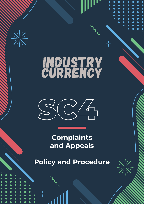

# INDUSTRY<br>CURRENCY



**Complaints and Appeals**

**Policy and Procedure**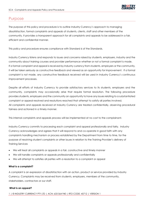### Purpose

The purpose of this policy and procedure is to outline Industry Currency's approach to managing dissatisfaction, formal complaints and appeals of students, clients, staff and other members of the community. It provides a transparent approach for all complaints and appeals to be addressed in a fair, efficient and confidential manner.

This policy and procedure ensures compliance with Standard 6 of the Standards.

Industry Currency listens and responds to issues and concerns raised by students, employers, industry and the community about training courses and provider performance whether or not a formal complaint is made. If a formal complaint and appeal is received by Industry currency from students, employers or the community, it will be taken seriously as constructive feedback and viewed as an opportunity for improvement. If a formal complaint is not made, any constructive feedback received will be used in Industry Currency's continuous improvement processes.

Despite all efforts of Industry Currency to provide satisfactory services to its students, employers and the community, complaints may occasionally arise that require formal resolution. The following procedure provides students, employers and the community an opportunity to have any issues relating to a substantiated complaint or appeal resolved and resolutions reached that attempt to satisfy all parties involved. All complaints and appeals received at Industry Currency are treated confidentially, observing procedural fairness and actioned in a timely manner.

This internal complaints and appeals process will be implemented at no cost to the complainant.

Industry Currency commits to processing each complaint and appeal professionally and fairly. Industry Currency acknowledges and agrees that it will respond to and co-operate in good faith with any complaints handling mechanism or process established by the Department from time to time, for the purpose of resolving student complaints or other issues in relation to the Training Provider's delivery of Training Services

- We will treat all complaints or appeals in a fair, constructive and timely manner
- We will handle complaints or appeals professionally and confidentially
- We will attempt to satisfies all parties with a resolution to a complaint or appeal

#### **What is a complaint?**

A complaint is an expression of dissatisfaction with an action, product or service provided by Industry Currency. Complaints may be received from students, employers, members of the community, stakeholders, contractors or our staff.

#### **What is an appeal?**

1 | © INDUSTRY CURRENCY PTY LTD | ACN: 633 564 940 | RTO CODE: 45712 | VERSION 1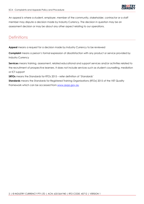An appeal is where a student, employer, member of the community, stakeholder, contractor or a staff member may dispute a decision made by Industry Currency. The decision in question may be an assessment decision or may be about any other aspect relating to our operations.

## **Definitions**

**Appeal** means a request for a decision made by Industry Currency to be reviewed

**Complaint** means a person's formal expression of dissatisfaction with any product or service provided by Industry Currency

**Services** means training, assessment, related educational and support services and/or activities related to the recruitment of prospective learners. It does not include services such as student counselling, mediation or ICT support

**SRTOs** means the Standards for RTOs 2015 – refer definition of 'Standards'

**Standards** means the Standards for Registered Training Organisations (RTOs) 2015 of the VET Quality Framework which can be accessed from [www.asqa.gov.au](http://www.asqa.gov.au/)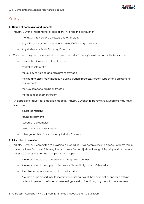

## **Policy**

#### **1. Nature of complaints and appeals**

- Industry Currency responds to all allegations involving the conduct of:
	- − The RTO, its trainers and assessors and other staff.
	- − Any third party providing Services on behalf of Industry Currency.
	- − Any student or client of Industry Currency.
- Complaints may be made in relation to any of Industry Currency's services and activities such as:
	- − the application and enrolment process
	- − marketing information
	- − the quality of training and assessment provided
	- − training and assessment matters, including student progress, student support and assessment requirements
	- − the way someone has been treated
	- − the actions of another student
- An appeal is a request for a decision made by Industry Currency to be reviewed. Decisions may have been about:
	- − course admissions
	- − refund assessments
	- − response to a complaint
	- − assessment outcomes / results
	- − other general decisions made by Industry Currency

#### **2. Principles of resolution**

- Industry Currency is committed to providing a procedurally fair complaints and appeals process that is carried out free from bias, following the principles of natural justice. Through this policy and procedure, Industry Currency ensures that complaints and appeals:
	- Are responded to in a consistent and transparent manner.
	- − Are responded to promptly, objectively, with sensitivity and confidentiality.
	- − Are able to be made at no cost to the individual.
	- − Are used as an opportunity to identify potential causes of the complaint or appeal and take actions to prevent the issues from recurring as well as identifying any areas for improvement.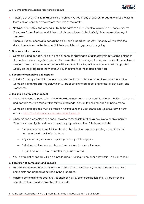- Industry Currency will inform all persons or parties involved in any allegations made as well as providing them with an opportunity to present their side of the matter.
- Nothing in this policy and procedure limits the rights of an individual to take action under Australia's Consumer Protection laws and it does not circumscribe an individual's rights to pursue other legal remedies.

Where a student chooses to access this policy and procedure, Industry Currency will maintain the student's enrolment while the complaints/appeals handling process is ongoing.

#### **3. Timeframes for resolution**

• Complaints and appeals will be finalised as soon as practicable or at least within 10 working calendar days unless there is a significant reason for the matter to take longer. In matters where additional time is needed, the complainant or appellant will be advised in writing of the reasons and will be updated weekly on the progress of the matter until such a time that the matter is resolved.

#### **4. Records of complaints and appeals**

• Industry Currency will maintain a record of all complaints and appeals and their outcomes on the Complaints and Appeals Register, which will be securely stored according to the Privacy Policy and Procedures.

#### **5. Making a complaint or appeal**

- Complaints about a particular incident should be made as soon as possible after the incident occurring and appeals must be made within thirty (30) calendar days of the original decision being made.
- Complaints and appeals must be made in writing using the *Complaints and Appeals Form* on our website:<https://industrycurrency.edu.au/student-services>
- When making a complaint or appeal, provide as much information as possible to enable Industry Currency to investigate and determine an appropriate solution. This should include:
	- − The issue you are complaining about or the decision you are appealing describe what happened and how it affected you.
	- − Any evidence you have to support your complaint or appeal.
	- − Details about the steps you have already taken to resolve the issue.
	- − Suggestions about how the matter might be resolved.
- Your complaint or appeal will be acknowledged in writing via email or post within 7 days of receipt.

#### **6. Resolution of complaints and appeals**

- Some or all members of the management team of Industry Currency will be involved in resolving complaints and appeals as outlined in the procedures.
- Where a complaint or appeal involves another individual or organisation, they will be given the opportunity to respond to any allegations made.

#### 4 | © INDUSTRY CURRENCY PTY LTD | ACN: 633 564 940 | RTO CODE: 45712 | VERSION 1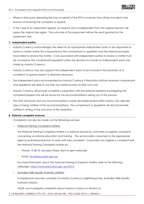- Where a third party delivering Services on behalf of the RTO is involved, they will be included in the process of resolving the complaint or appeal.
- In the case of an assessment appeal, an assessor who is independent from the original decision will assess the original task again. The outcome of this assessment will be the result granted for the assessment task.

#### **7. Independent parties**

- Industry Currency acknowledges the need for an appropriate independent party to be appointed to review a matter where this is requested by the complainant or appellant and the internal processes have failed to resolve the matter. Costs associated with independent parties to review a matter must be covered by the complainant/appellant unless the decision to include an independent party was made by Industry Currency.
- Industry Currency may also appoint the independent party to be involved in the resolution of a complaint or appeal where it is deemed necessary.
- The independent party recommended by Industry Currency is Resolution Institute however complainants and appellants are able to use their own external party at their own cost.
- Industry Currency will provide complete cooperation with the external mediator investigating the complaint/appeal and will be bound by the recommendations arising out of this process.
- The CEO will ensure that any recommendations made are implemented within twenty (10) calendar days of being notified of the recommendations. The complainant or appellant will also be formally notified in writing of the outcome of the mediation.

#### **8. External complaint avenues**

Complaints can also be made via the following avenues:

• National Training Complaints Hotline:

The National Training Complaints Hotline is a national service for consumers to register complaints concerning vocational education and training. The service refers consumers to the appropriate agency/authority/jurisdiction to assist with their complaint. Consumers can register a complaint with the National Training Complaints Hotline by:

- − Phone**:** 13 38 73, Monday–Friday, 8am to 6pm nationally.
- Email: [ntch@education.gov.au](mailto:ntch@education.gov.au)

For more information about the National Training Complaints Hotline, refer to the following webpage: <https://www.education.gov.au/NTCH>

• Australian Skills Quality Authority (ASQA):

Complainants may also complain to Industry Currency's registering body, Australian Skills Quality Authority (ASQA).

ASQA can investigate complaints about Industry Currency in relation to: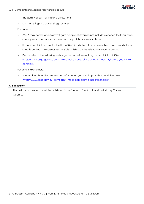

- the quality of our training and assessment
- our marketing and advertising practices

#### For students:

- ASQA may not be able to investigate complaint if you do not include evidence that you have already exhausted our formal internal complaints process as above.
- If your complaint does not fall within ASQA's jurisdiction, it may be resolved more quickly if you directly contact the agency responsible as listed on the relevant webpage below.
- Please refer to the following webpage below before making a complaint to ASQA: [https://www.asqa.gov.au/complaints/make-complaint-domestic-students/before-you-make](https://www.asqa.gov.au/complaints/make-complaint-domestic-students/before-you-make-complaint)[complaint](https://www.asqa.gov.au/complaints/make-complaint-domestic-students/before-you-make-complaint)

For other stakeholders:

Information about the process and information you should provide is available here: <https://www.asqa.gov.au/complaints/make-complaint-other-stakeholders>

#### **9. Publication**

This policy and procedure will be published in the *Student Handbook* and on Industry Currency's website.